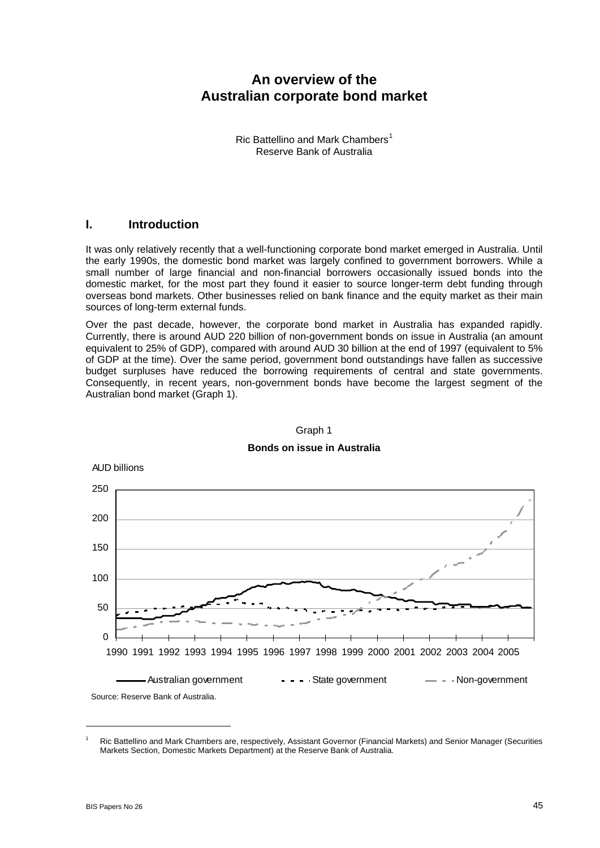# **An overview of the Australian corporate bond market**

Ric Battellino and Mark Chambers<sup>[1](#page-0-0)</sup> Reserve Bank of Australia

## **I. Introduction**

It was only relatively recently that a well-functioning corporate bond market emerged in Australia. Until the early 1990s, the domestic bond market was largely confined to government borrowers. While a small number of large financial and non-financial borrowers occasionally issued bonds into the domestic market, for the most part they found it easier to source longer-term debt funding through overseas bond markets. Other businesses relied on bank finance and the equity market as their main sources of long-term external funds.

Over the past decade, however, the corporate bond market in Australia has expanded rapidly. Currently, there is around AUD 220 billion of non-government bonds on issue in Australia (an amount equivalent to 25% of GDP), compared with around AUD 30 billion at the end of 1997 (equivalent to 5% of GDP at the time). Over the same period, government bond outstandings have fallen as successive budget surpluses have reduced the borrowing requirements of central and state governments. Consequently, in recent years, non-government bonds have become the largest segment of the Australian bond market (Graph 1).



## Graph 1 **Bonds on issue in Australia**

1

<span id="page-0-0"></span><sup>1</sup> Ric Battellino and Mark Chambers are, respectively, Assistant Governor (Financial Markets) and Senior Manager (Securities Markets Section, Domestic Markets Department) at the Reserve Bank of Australia.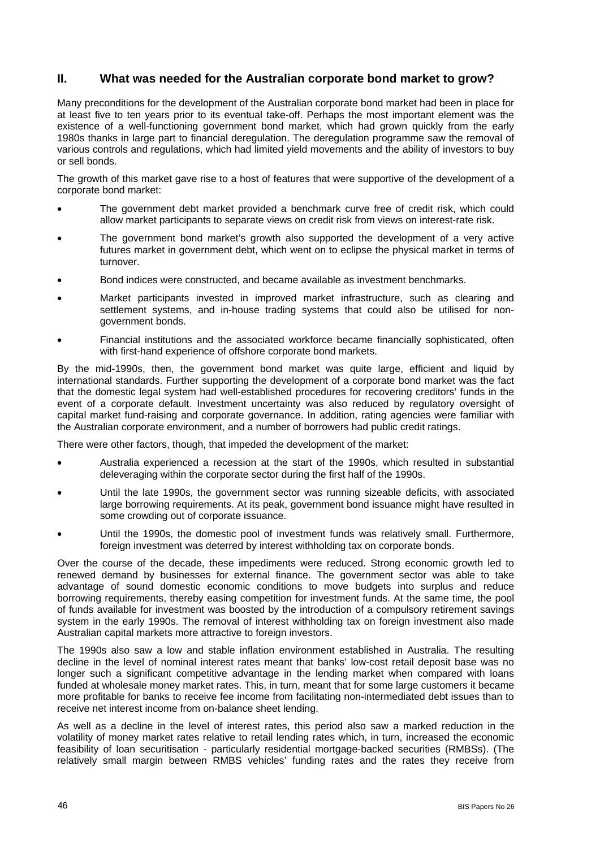## **II. What was needed for the Australian corporate bond market to grow?**

Many preconditions for the development of the Australian corporate bond market had been in place for at least five to ten years prior to its eventual take-off. Perhaps the most important element was the existence of a well-functioning government bond market, which had grown quickly from the early 1980s thanks in large part to financial deregulation. The deregulation programme saw the removal of various controls and regulations, which had limited yield movements and the ability of investors to buy or sell bonds.

The growth of this market gave rise to a host of features that were supportive of the development of a corporate bond market:

- The government debt market provided a benchmark curve free of credit risk, which could allow market participants to separate views on credit risk from views on interest-rate risk.
- The government bond market's growth also supported the development of a very active futures market in government debt, which went on to eclipse the physical market in terms of turnover.
- Bond indices were constructed, and became available as investment benchmarks.
- Market participants invested in improved market infrastructure, such as clearing and settlement systems, and in-house trading systems that could also be utilised for nongovernment bonds.
- Financial institutions and the associated workforce became financially sophisticated, often with first-hand experience of offshore corporate bond markets.

By the mid-1990s, then, the government bond market was quite large, efficient and liquid by international standards. Further supporting the development of a corporate bond market was the fact that the domestic legal system had well-established procedures for recovering creditors' funds in the event of a corporate default. Investment uncertainty was also reduced by regulatory oversight of capital market fund-raising and corporate governance. In addition, rating agencies were familiar with the Australian corporate environment, and a number of borrowers had public credit ratings.

There were other factors, though, that impeded the development of the market:

- Australia experienced a recession at the start of the 1990s, which resulted in substantial deleveraging within the corporate sector during the first half of the 1990s.
- Until the late 1990s, the government sector was running sizeable deficits, with associated large borrowing requirements. At its peak, government bond issuance might have resulted in some crowding out of corporate issuance.
- Until the 1990s, the domestic pool of investment funds was relatively small. Furthermore, foreign investment was deterred by interest withholding tax on corporate bonds.

Over the course of the decade, these impediments were reduced. Strong economic growth led to renewed demand by businesses for external finance. The government sector was able to take advantage of sound domestic economic conditions to move budgets into surplus and reduce borrowing requirements, thereby easing competition for investment funds. At the same time, the pool of funds available for investment was boosted by the introduction of a compulsory retirement savings system in the early 1990s. The removal of interest withholding tax on foreign investment also made Australian capital markets more attractive to foreign investors.

The 1990s also saw a low and stable inflation environment established in Australia. The resulting decline in the level of nominal interest rates meant that banks' low-cost retail deposit base was no longer such a significant competitive advantage in the lending market when compared with loans funded at wholesale money market rates. This, in turn, meant that for some large customers it became more profitable for banks to receive fee income from facilitating non-intermediated debt issues than to receive net interest income from on-balance sheet lending.

As well as a decline in the level of interest rates, this period also saw a marked reduction in the volatility of money market rates relative to retail lending rates which, in turn, increased the economic feasibility of loan securitisation - particularly residential mortgage-backed securities (RMBSs). (The relatively small margin between RMBS vehicles' funding rates and the rates they receive from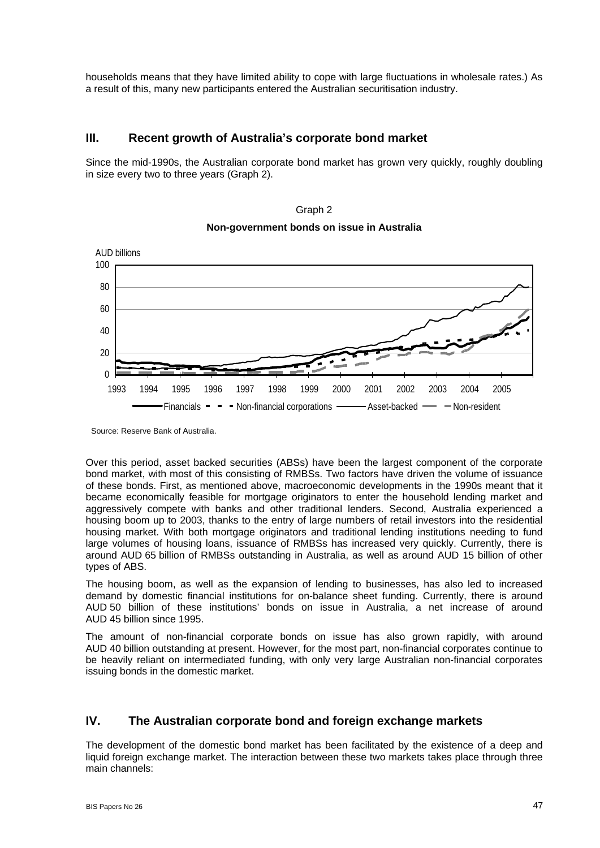households means that they have limited ability to cope with large fluctuations in wholesale rates.) As a result of this, many new participants entered the Australian securitisation industry.

## **III. Recent growth of Australia's corporate bond market**

Since the mid-1990s, the Australian corporate bond market has grown very quickly, roughly doubling in size every two to three years (Graph 2).

# Graph 2



## **Non-government bonds on issue in Australia**

Source: Reserve Bank of Australia.

Over this period, asset backed securities (ABSs) have been the largest component of the corporate bond market, with most of this consisting of RMBSs. Two factors have driven the volume of issuance of these bonds. First, as mentioned above, macroeconomic developments in the 1990s meant that it became economically feasible for mortgage originators to enter the household lending market and aggressively compete with banks and other traditional lenders. Second, Australia experienced a housing boom up to 2003, thanks to the entry of large numbers of retail investors into the residential housing market. With both mortgage originators and traditional lending institutions needing to fund large volumes of housing loans, issuance of RMBSs has increased very quickly. Currently, there is around AUD 65 billion of RMBSs outstanding in Australia, as well as around AUD 15 billion of other types of ABS.

The housing boom, as well as the expansion of lending to businesses, has also led to increased demand by domestic financial institutions for on-balance sheet funding. Currently, there is around AUD 50 billion of these institutions' bonds on issue in Australia, a net increase of around AUD 45 billion since 1995.

The amount of non-financial corporate bonds on issue has also grown rapidly, with around AUD 40 billion outstanding at present. However, for the most part, non-financial corporates continue to be heavily reliant on intermediated funding, with only very large Australian non-financial corporates issuing bonds in the domestic market.

# **IV. The Australian corporate bond and foreign exchange markets**

The development of the domestic bond market has been facilitated by the existence of a deep and liquid foreign exchange market. The interaction between these two markets takes place through three main channels: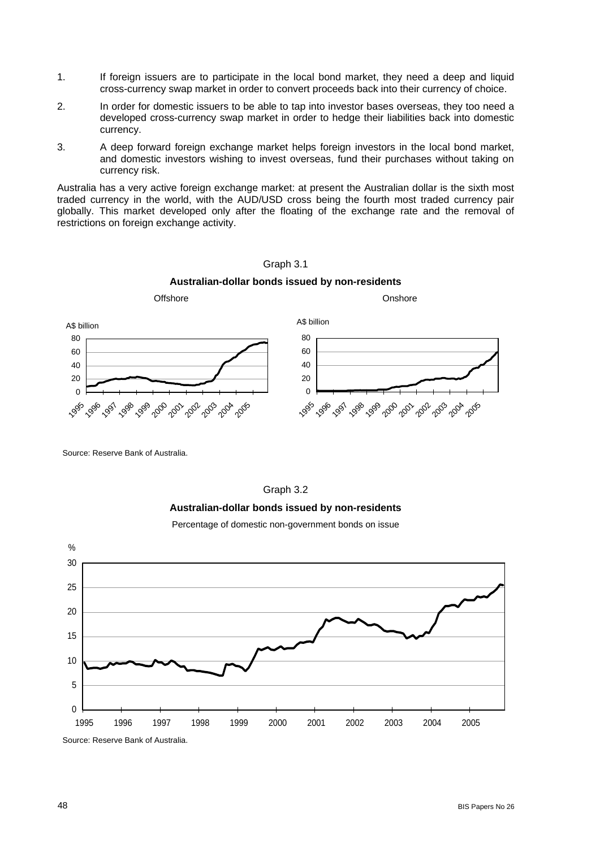- 1. If foreign issuers are to participate in the local bond market, they need a deep and liquid cross-currency swap market in order to convert proceeds back into their currency of choice.
- 2. In order for domestic issuers to be able to tap into investor bases overseas, they too need a developed cross-currency swap market in order to hedge their liabilities back into domestic currency.
- 3. A deep forward foreign exchange market helps foreign investors in the local bond market, and domestic investors wishing to invest overseas, fund their purchases without taking on currency risk.

Australia has a very active foreign exchange market: at present the Australian dollar is the sixth most traded currency in the world, with the AUD/USD cross being the fourth most traded currency pair globally. This market developed only after the floating of the exchange rate and the removal of restrictions on foreign exchange activity.



Graph 3.1 **Australian-dollar bonds issued by non-residents** 

Source: Reserve Bank of Australia.





**Australian-dollar bonds issued by non-residents** 

Percentage of domestic non-government bonds on issue

Source: Reserve Bank of Australia.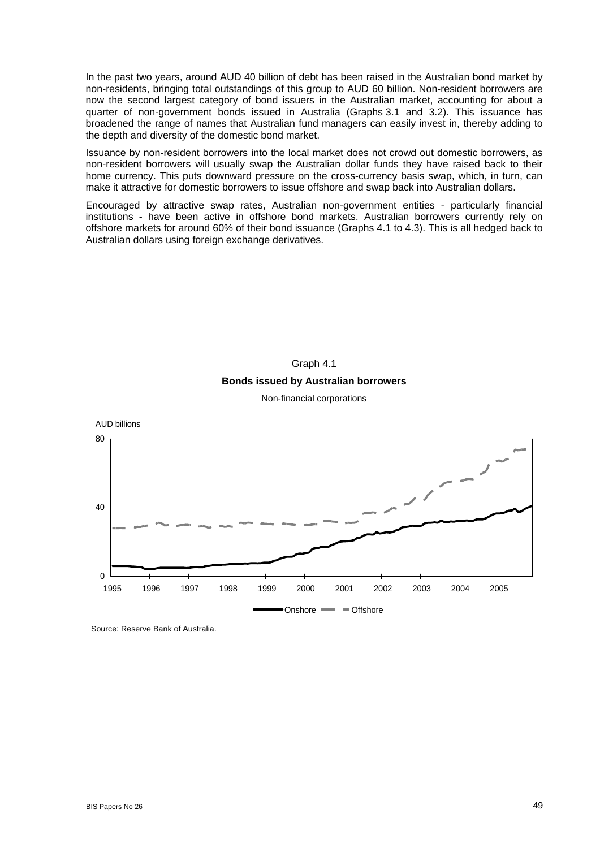In the past two years, around AUD 40 billion of debt has been raised in the Australian bond market by non-residents, bringing total outstandings of this group to AUD 60 billion. Non-resident borrowers are now the second largest category of bond issuers in the Australian market, accounting for about a quarter of non-government bonds issued in Australia (Graphs 3.1 and 3.2). This issuance has broadened the range of names that Australian fund managers can easily invest in, thereby adding to the depth and diversity of the domestic bond market.

Issuance by non-resident borrowers into the local market does not crowd out domestic borrowers, as non-resident borrowers will usually swap the Australian dollar funds they have raised back to their home currency. This puts downward pressure on the cross-currency basis swap, which, in turn, can make it attractive for domestic borrowers to issue offshore and swap back into Australian dollars.

Encouraged by attractive swap rates, Australian non-government entities - particularly financial institutions - have been active in offshore bond markets. Australian borrowers currently rely on offshore markets for around 60% of their bond issuance (Graphs 4.1 to 4.3). This is all hedged back to Australian dollars using foreign exchange derivatives.



**Bonds issued by Australian borrowers**  Non-financial corporations

Graph 4.1

Source: Reserve Bank of Australia.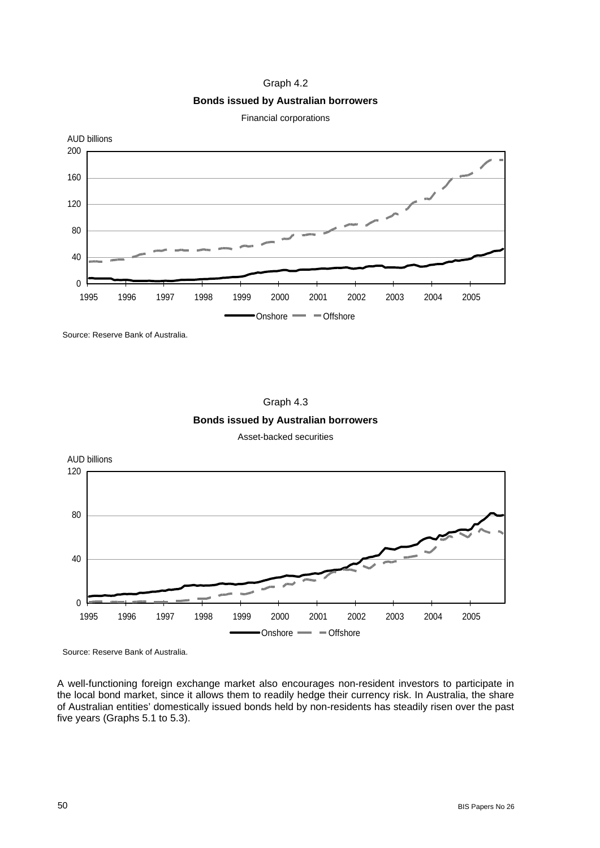#### Graph 4.2

**Bonds issued by Australian borrowers** 



Financial corporations

Source: Reserve Bank of Australia.







Source: Reserve Bank of Australia.

A well-functioning foreign exchange market also encourages non-resident investors to participate in the local bond market, since it allows them to readily hedge their currency risk. In Australia, the share of Australian entities' domestically issued bonds held by non-residents has steadily risen over the past five years (Graphs 5.1 to 5.3).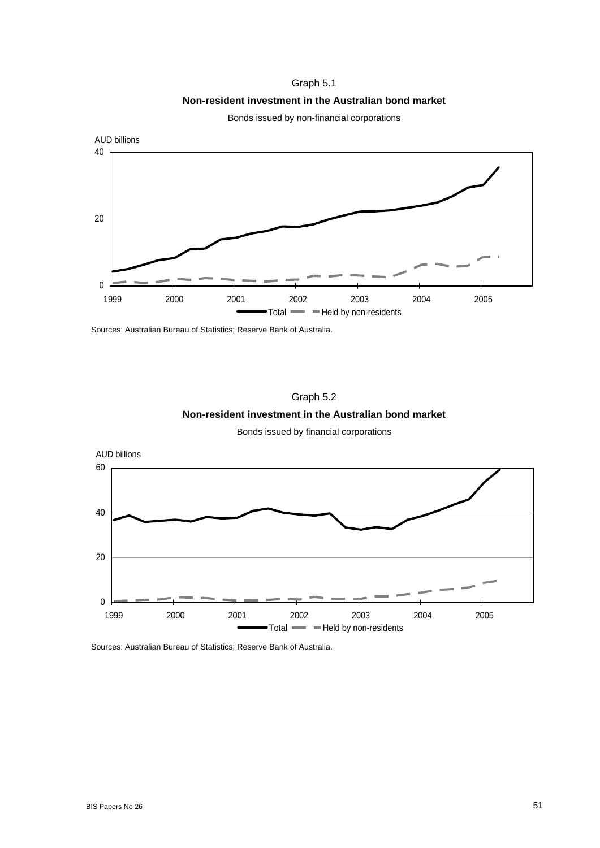#### Graph 5.1

## **Non-resident investment in the Australian bond market**



Bonds issued by non-financial corporations

Sources: Australian Bureau of Statistics; Reserve Bank of Australia.



Bonds issued by financial corporations



Sources: Australian Bureau of Statistics; Reserve Bank of Australia.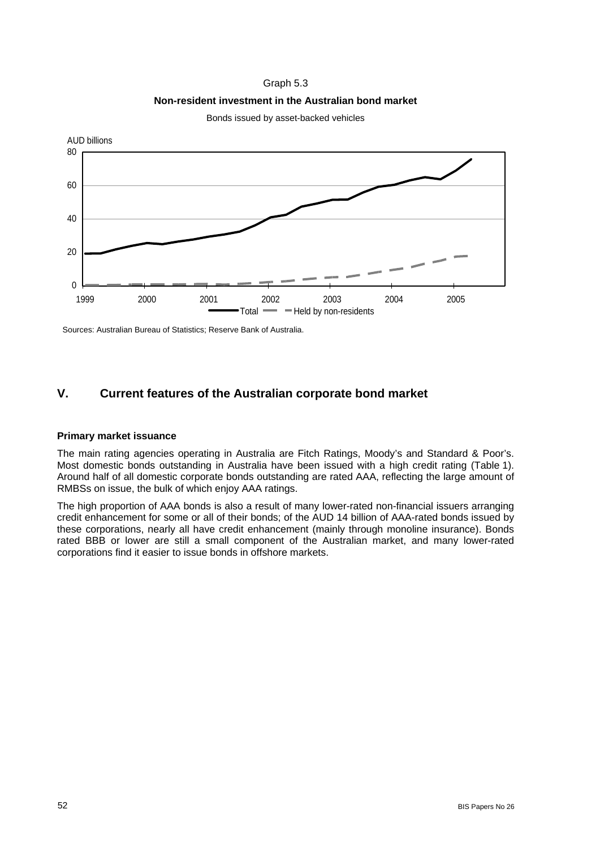#### Graph 5.3

#### **Non-resident investment in the Australian bond market**



Bonds issued by asset-backed vehicles

Sources: Australian Bureau of Statistics; Reserve Bank of Australia.

# **V. Current features of the Australian corporate bond market**

#### **Primary market issuance**

The main rating agencies operating in Australia are Fitch Ratings, Moody's and Standard & Poor's. Most domestic bonds outstanding in Australia have been issued with a high credit rating (Table 1). Around half of all domestic corporate bonds outstanding are rated AAA, reflecting the large amount of RMBSs on issue, the bulk of which enjoy AAA ratings.

The high proportion of AAA bonds is also a result of many lower-rated non-financial issuers arranging credit enhancement for some or all of their bonds; of the AUD 14 billion of AAA-rated bonds issued by these corporations, nearly all have credit enhancement (mainly through monoline insurance). Bonds rated BBB or lower are still a small component of the Australian market, and many lower-rated corporations find it easier to issue bonds in offshore markets.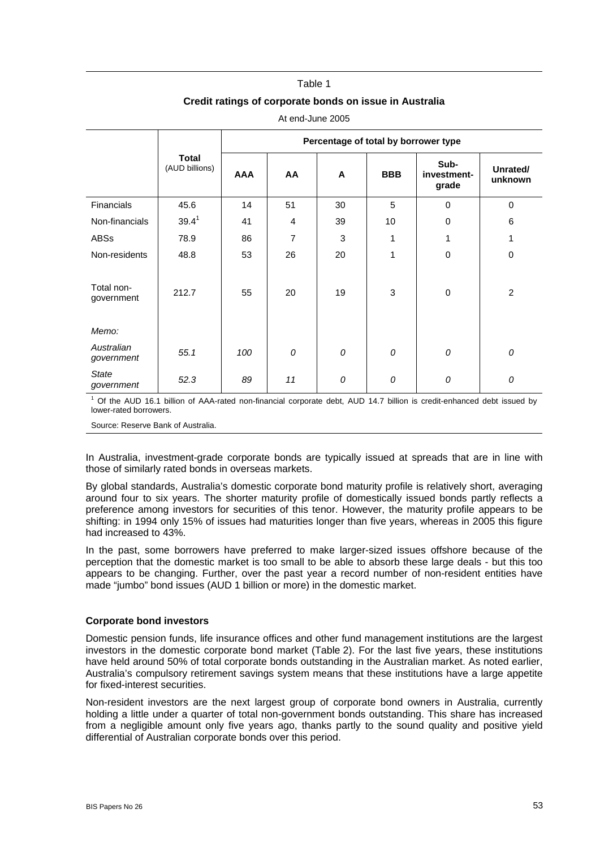#### Table 1

## **Credit ratings of corporate bonds on issue in Australia**

|                            |                                | Percentage of total by borrower type |                |    |            |                              |                     |  |
|----------------------------|--------------------------------|--------------------------------------|----------------|----|------------|------------------------------|---------------------|--|
|                            | <b>Total</b><br>(AUD billions) | <b>AAA</b>                           | AA             | A  | <b>BBB</b> | Sub-<br>investment-<br>grade | Unrated/<br>unknown |  |
| <b>Financials</b>          | 45.6                           | 14                                   | 51             | 30 | 5          | $\mathbf 0$                  | $\mathbf 0$         |  |
| Non-financials             | 39.4 <sup>1</sup>              | 41                                   | 4              | 39 | 10         | 0                            | 6                   |  |
| <b>ABSs</b>                | 78.9                           | 86                                   | $\overline{7}$ | 3  | 1          | 1                            | 1                   |  |
| Non-residents              | 48.8                           | 53                                   | 26             | 20 | 1          | $\mathbf 0$                  | $\pmb{0}$           |  |
| Total non-<br>government   | 212.7                          | 55                                   | 20             | 19 | 3          | $\mathbf 0$                  | $\overline{2}$      |  |
| Memo:                      |                                |                                      |                |    |            |                              |                     |  |
| Australian<br>government   | 55.1                           | 100                                  | 0              | 0  | 0          | 0                            | 0                   |  |
| <b>State</b><br>government | 52.3                           | 89                                   | 11             | 0  | 0          | 0                            | 0                   |  |

At end-June 2005

1 Of the AUD 16.1 billion of AAA-rated non-financial corporate debt, AUD 14.7 billion is credit-enhanced debt issued by lower-rated borrowers.

Source: Reserve Bank of Australia.

In Australia, investment-grade corporate bonds are typically issued at spreads that are in line with those of similarly rated bonds in overseas markets.

By global standards, Australia's domestic corporate bond maturity profile is relatively short, averaging around four to six years. The shorter maturity profile of domestically issued bonds partly reflects a preference among investors for securities of this tenor. However, the maturity profile appears to be shifting: in 1994 only 15% of issues had maturities longer than five years, whereas in 2005 this figure had increased to 43%.

In the past, some borrowers have preferred to make larger-sized issues offshore because of the perception that the domestic market is too small to be able to absorb these large deals - but this too appears to be changing. Further, over the past year a record number of non-resident entities have made "jumbo" bond issues (AUD 1 billion or more) in the domestic market.

#### **Corporate bond investors**

Domestic pension funds, life insurance offices and other fund management institutions are the largest investors in the domestic corporate bond market (Table 2). For the last five years, these institutions have held around 50% of total corporate bonds outstanding in the Australian market. As noted earlier, Australia's compulsory retirement savings system means that these institutions have a large appetite for fixed-interest securities.

Non-resident investors are the next largest group of corporate bond owners in Australia, currently holding a little under a quarter of total non-government bonds outstanding. This share has increased from a negligible amount only five years ago, thanks partly to the sound quality and positive yield differential of Australian corporate bonds over this period.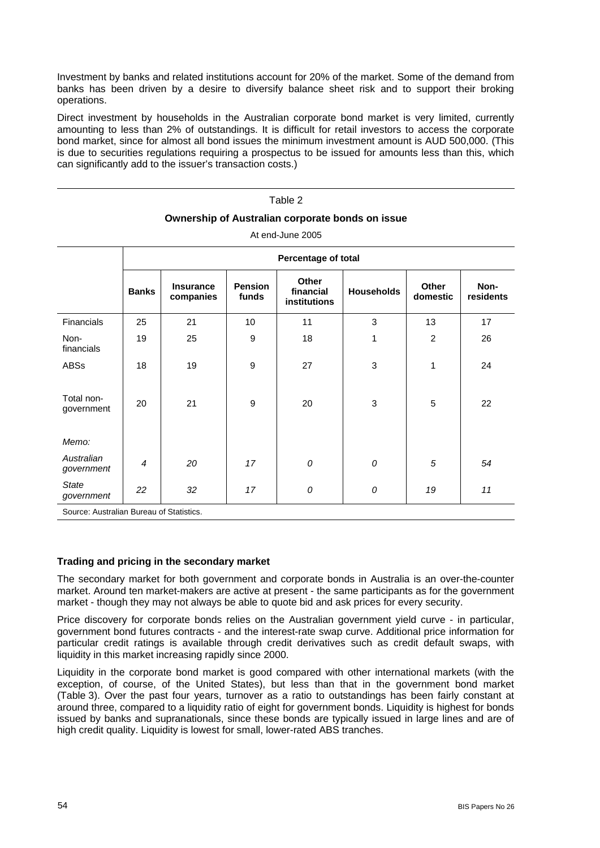Investment by banks and related institutions account for 20% of the market. Some of the demand from banks has been driven by a desire to diversify balance sheet risk and to support their broking operations.

Direct investment by households in the Australian corporate bond market is very limited, currently amounting to less than 2% of outstandings. It is difficult for retail investors to access the corporate bond market, since for almost all bond issues the minimum investment amount is AUD 500,000. (This is due to securities regulations requiring a prospectus to be issued for amounts less than this, which can significantly add to the issuer's transaction costs.)

| Table 2                                          |                |                               |                         |                                           |                   |                          |                   |  |  |  |
|--------------------------------------------------|----------------|-------------------------------|-------------------------|-------------------------------------------|-------------------|--------------------------|-------------------|--|--|--|
| Ownership of Australian corporate bonds on issue |                |                               |                         |                                           |                   |                          |                   |  |  |  |
| At end-June 2005                                 |                |                               |                         |                                           |                   |                          |                   |  |  |  |
|                                                  |                | Percentage of total           |                         |                                           |                   |                          |                   |  |  |  |
|                                                  | <b>Banks</b>   | <b>Insurance</b><br>companies | <b>Pension</b><br>funds | <b>Other</b><br>financial<br>institutions | <b>Households</b> | <b>Other</b><br>domestic | Non-<br>residents |  |  |  |
| Financials                                       | 25             | 21                            | 10                      | 11                                        | 3                 | 13                       | 17                |  |  |  |
| Non-<br>financials                               | 19             | 25                            | 9                       | 18                                        | 1                 | 2                        | 26                |  |  |  |
| <b>ABSs</b>                                      | 18             | 19                            | 9                       | 27                                        | 3                 | 1                        | 24                |  |  |  |
| Total non-<br>government                         | 20             | 21                            | 9                       | 20                                        | $\mathbf{3}$      | 5                        | 22                |  |  |  |
| Memo:                                            |                |                               |                         |                                           |                   |                          |                   |  |  |  |
| Australian<br>government                         | $\overline{4}$ | 20                            | 17                      | 0                                         | 0                 | 5                        | 54                |  |  |  |
| <b>State</b><br>government                       | 22             | 32                            | 17                      | 0                                         | 0                 | 19                       | 11                |  |  |  |
| Source: Auetralian Bureau of Statistics          |                |                               |                         |                                           |                   |                          |                   |  |  |  |

Source: Australian Bureau of Statistics.

### **Trading and pricing in the secondary market**

The secondary market for both government and corporate bonds in Australia is an over-the-counter market. Around ten market-makers are active at present - the same participants as for the government market - though they may not always be able to quote bid and ask prices for every security.

Price discovery for corporate bonds relies on the Australian government yield curve - in particular, government bond futures contracts - and the interest-rate swap curve. Additional price information for particular credit ratings is available through credit derivatives such as credit default swaps, with liquidity in this market increasing rapidly since 2000.

Liquidity in the corporate bond market is good compared with other international markets (with the exception, of course, of the United States), but less than that in the government bond market (Table 3). Over the past four years, turnover as a ratio to outstandings has been fairly constant at around three, compared to a liquidity ratio of eight for government bonds. Liquidity is highest for bonds issued by banks and supranationals, since these bonds are typically issued in large lines and are of high credit quality. Liquidity is lowest for small, lower-rated ABS tranches.